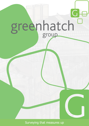# greenhatch

Surveying that measures up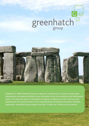# $\overline{G}$ e greenhatch



Established in 1988 Greenhatch Group has been and continues to be, a source of high quality topographical and measured building survey information across the construction and development sectors. The group has grown to encompass all aspects of measured surveys, and has survey engineering & 3D scanning divisions with a dedicated Revit and Building Information Modelling department. Greenhatch Group employs more than 75 staff over 4 offices in two countries.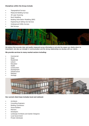### **Disciplines within the Group include:**

- Topographical Surveys
- Measured Building Surveys
- 3D Laser Scanning
- Revit Modelling
- Building Information Modelling (BIM)
- Engineering & Setting Out Services
- Underground Utility Surveys
- Rail Surveys



We believe that accurate clear and quality measured survey information is not only the reason our clients return to Greenhatch, but also our strength in communication and the strong relationships we develop with our clients.

#### **We provide services to many market sectors including:**

- **Commercial**
- Retail
- Residential
- Leisure
- Education
- Health
- Construction
- Development
- Infrastructure
- Railways
- Heritage



#### **Our current client base includes local and national:**

- **Architects**
- Consulting Engineers
- Building Contractors
- House Builders
- Planners
- Developers
- Landscape Architects and Garden Designers
- Local Government
- Private Individuals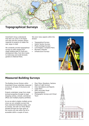

Greenhatch Group understands that sites can come in all shapes and sizes and the company always responds to projects no matter the size, large or small.

We constantly provide topographical surveys on sites ranging from single building plots to multi-acre development sites, from farm tracks to motorways and small domestic gardens to National Parks.

We cover many aspects within this division

- Topographical Surveys
- Hydro/ Section Surveys
- Photo-montage Surveys
- Land Registry Compliant Plans
- Boundary Disputes
- Infrastructure Surveys



# **Measured Building Surveys**

The Building Survey Division within Greenhatch Group undertake measured • surveys on all types of structures and properties.

Projects undertaken range from single terraced properties through to large shopping centres, schools, commercial offices and multiple property portfolios.

As we are able to deploy multiple survey crews we can complete surveys that have restricted timeframes easily, such as schools, and with our three offices situated through the main spine of the country any site within the UK is accessible within a couple of hours.

- Floor Plans, Elevations, Sections
- Rights of Light Surveys
- Area Calculations and Reports
- **Lease Plans**
- AVR's (Accurate Visual Representation)
- Photographic Surveys and Virtual **Tours**

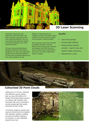

Greenhatch Group has vast experience within the field of 3D Laser Scanning, being one of the first surveying practices in the U.K. to purchase and utilise the original and ground-breaking Cyrax Laser Scanning System.

3D Laser Scanning technology is utilised throughout all the various disciplines as a way of providing high quality and accurate data whilst at the same time providing efficient and time saving solutions on site.

Millions of measurements are captured on site by the laser scanner creating a 3D point cloud, this data can be issued in various formats.

We are proud to have been selected by English Heritage to provide Metric Services using Laser Scanning technologies and within the last 2 years we have also provided similar services for the sister organisation, Historic Scotland.

#### **Benefits:**

- Cost & time savings
- Accurate data collected
- Measurements collected remotely - ideal for sites with Health & Safety restrictions
- Reduced site re-visits



# **Colourised 3D Point Clouds**

Utilising the Z+F M-Cam, motorised and calibrated camera solution, both our Leica HDS 6200 & Z+F Imager 5010 phased based scanners can capture high resolution point cloud data that can be colourised to provide exceptionally high quality colourised 3D point clouds.

In the field, images are saved to the scanners internal hard drive together with calibration statistics, enabling accurate and realistic imaging to be overlaid on to each separately acquired laser scan.

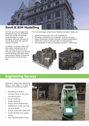

With the use of the Autodesk Revit Architecture Suite, the Greenhatch Group can provide conventional survey drawings in a single foundation data base, providing 2D and 3D views along with area and material schedules.

In addition, by utilising modern site data capture methods such as 3D laser scanning, Revit point cloud tools can connect laser scans directly into the Building Information Model (BIM) process, helping to accelerate the production of As-built drawn data.

The main advantages of Revit Based Building Information Models are:

- Bidirectional Association (2D & 3D Visualizations)
- Scheduling (scheduling of any materials, surfaces and areas)
- Design Visualization (surface materials & rendering applications)
- Performance (memory intensive tasks are instantaneous)
- Built specifically for BIM (an integrated process for reliable data)



# **Engineering Surveys**

Greenhatch Engineering department offers a wide range of services to facilitate any engineering projects.

- Site Setting out services
- Verticality checks of steel work, concrete structures
- Precise monitoring
- Façade monitoring
- Primary control establishment
- Establishment of main grid lines and level datums
- As-Built surveys post construction
- Trouble shooting/ error problem solving
- Floor Slab deformation surveys

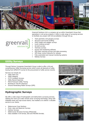

Greenrail Solutions Ltd is a company set up within Greenhatch Group that specializes in rail survey projects; it offers a wide range of surveying services to facilitate any project with full accreditation through link-up.

- Track geometry and gauging surveys
- Structure and tunnel profiling
- OHLE height and stagger surveys
- Level crossing surveys
- As-built surveys
- Tramway surveys
- Survey and monitoring software
- HDS laser scanning surveys and data processing
- GPS linear control networks for railways
- Fully automated and manual monitoring systems
- Railway Surveys

# **Utility Surveys**

greenrai

solutions ltd

Through Partner Companies Greenhatch Group is able to offer a full and comprehensive Utility Surveying service which covers all elements of utility tracing from GPR/CCTV survey to the procurement of utility service records.

Services we include are

- Utility Mark Out
- Utility Mapping
- CCTV Condition Surveys.
- Utility Record Searches
- Petrol Forecourt Utility Tracing
- Borehole & Trial Pit Clearance
- Ground Penetrating Radar Surveys (GPR)





# **Hydrographic Surveys**

We offer a wide range of hydrographic and bathymetric surveying services. Utilising the most up to date remote sonar surveying technology, along with inflatable boats and rope access teams, has enabled us to deliver a valuable service to our clients.

- Watercourse Cross Sections
- Pond, Lake and Reservoir Surveys
- Harbour Surveys
- Watercourse Structure Surveys (Measured)
- Data available in EA format, ISIS and HECRAS formats.